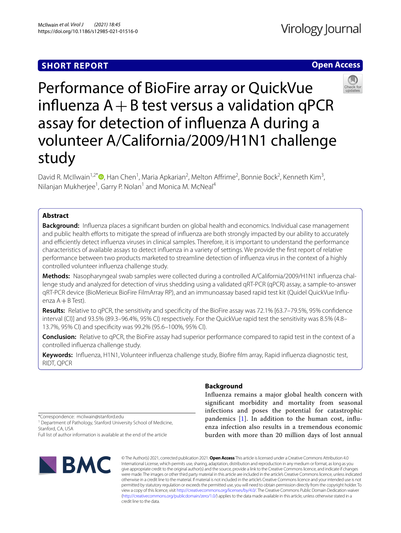# **SHORT REPORT**

# Virology Journal

# **Open Access**



Performance of BioFire array or QuickVue influenza  $A + B$  test versus a validation qPCR assay for detection of infuenza A during a volunteer A/California/2009/H1N1 challenge study

David R. McIlwain<sup>1[,](http://orcid.org/0000-0002-2537-0273)2\*</sup><sup>®</sup>, Han Chen<sup>1</sup>, Maria Apkarian<sup>2</sup>, Melton Affrime<sup>2</sup>, Bonnie Bock<sup>2</sup>, Kenneth Kim<sup>3</sup>, Nilanjan Mukherjee<sup>1</sup>, Garry P. Nolan<sup>1</sup> and Monica M. McNeal<sup>4</sup>

# **Abstract**

**Background:** Infuenza places a signifcant burden on global health and economics. Individual case management and public health efforts to mitigate the spread of influenza are both strongly impacted by our ability to accurately and efficiently detect influenza viruses in clinical samples. Therefore, it is important to understand the performance characteristics of available assays to detect infuenza in a variety of settings. We provide the frst report of relative performance between two products marketed to streamline detection of infuenza virus in the context of a highly controlled volunteer infuenza challenge study.

**Methods:** Nasopharyngeal swab samples were collected during a controlled A/California/2009/H1N1 infuenza challenge study and analyzed for detection of virus shedding using a validated qRT-PCR (qPCR) assay, a sample-to-answer qRT-PCR device (BioMerieux BioFire FilmArray RP), and an immunoassay based rapid test kit (Quidel QuickVue Infuenza  $A + B$  Test).

**Results:** Relative to qPCR, the sensitivity and specifcity of the BioFire assay was 72.1% [63.7–79.5%, 95% confdence interval (CI)] and 93.5% (89.3–96.4%, 95% CI) respectively. For the QuickVue rapid test the sensitivity was 8.5% (4.8– 13.7%, 95% CI) and specifcity was 99.2% (95.6–100%, 95% CI).

**Conclusion:** Relative to qPCR, the BioFire assay had superior performance compared to rapid test in the context of a controlled infuenza challenge study.

**Keywords:** Infuenza, H1N1, Volunteer infuenza challenge study, Biofre flm array, Rapid infuenza diagnostic test, RIDT, QPCR

# **Background**

Infuenza remains a major global health concern with signifcant morbidity and mortality from seasonal infections and poses the potential for catastrophic pandemics  $[1]$  $[1]$ . In addition to the human cost, influenza infection also results in a tremendous economic burden with more than 20 million days of lost annual

\*Correspondence: mcilwain@stanford.edu <sup>1</sup> Department of Pathology, Stanford University School of Medicine,

Stanford, CA, USA

Full list of author information is available at the end of the article



© The Author(s) 2021, corrected publication 2021. **Open Access** This article is licensed under a Creative Commons Attribution 4.0 International License, which permits use, sharing, adaptation, distribution and reproduction in any medium or format, as long as you give appropriate credit to the original author(s) and the source, provide a link to the Creative Commons licence, and indicate if changes were made. The images or other third party material in this article are included in the article's Creative Commons licence, unless indicated otherwise in a credit line to the material. If material is not included in the article's Creative Commons licence and your intended use is not permitted by statutory regulation or exceeds the permitted use, you will need to obtain permission directly from the copyright holder. To view a copy of this licence, visit [http://creativecommons.org/licenses/by/4.0/.](http://creativecommons.org/licenses/by/4.0/) The Creative Commons Public Domain Dedication waiver [\(http://creativecommons.org/publicdomain/zero/1.0/\)](http://creativecommons.org/publicdomain/zero/1.0/) applies to the data made available in this article, unless otherwise stated in a credit line to the data.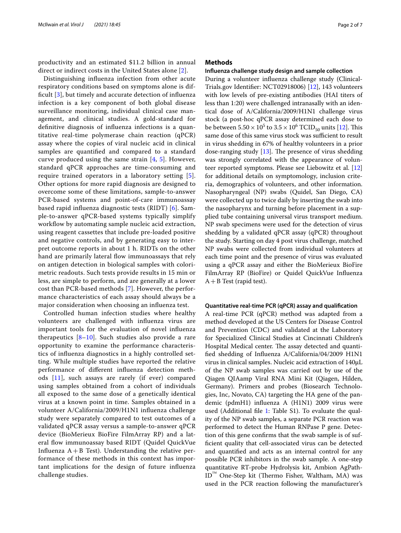productivity and an estimated \$11.2 billion in annual direct or indirect costs in the United States alone [[2\]](#page-5-1).

Distinguishing infuenza infection from other acute respiratory conditions based on symptoms alone is diffcult [\[3](#page-5-2)], but timely and accurate detection of infuenza infection is a key component of both global disease surveillance monitoring, individual clinical case management, and clinical studies. A gold-standard for defnitive diagnosis of infuenza infections is a quantitative real-time polymerase chain reaction (qPCR) assay where the copies of viral nucleic acid in clinical samples are quantifed and compared to a standard curve produced using the same strain  $[4, 5]$  $[4, 5]$  $[4, 5]$  $[4, 5]$ . However, standard qPCR approaches are time-consuming and require trained operators in a laboratory setting [[5\]](#page-5-4). Other options for more rapid diagnosis are designed to overcome some of these limitations, sample-to-answer PCR-based systems and point-of-care immunoassay based rapid infuenza diagnostic tests (RIDT) [\[6](#page-5-5)]. Sample-to-answer qPCR-based systems typically simplify workflow by automating sample nucleic acid extraction, using reagent cassettes that include pre-loaded positive and negative controls, and by generating easy to interpret outcome reports in about 1 h. RIDTs on the other hand are primarily lateral fow immunoassays that rely on antigen detection in biological samples with colorimetric readouts. Such tests provide results in 15 min or less, are simple to perform, and are generally at a lower cost than PCR-based methods [[7\]](#page-5-6). However, the performance characteristics of each assay should always be a major consideration when choosing an infuenza test.

Controlled human infection studies where healthy volunteers are challenged with infuenza virus are important tools for the evaluation of novel infuenza therapeutics [[8–](#page-5-7)[10\]](#page-5-8). Such studies also provide a rare opportunity to examine the performance characteristics of infuenza diagnostics in a highly controlled setting. While multiple studies have reported the relative performance of diferent infuenza detection methods [\[11\]](#page-5-9), such assays are rarely (if ever) compared using samples obtained from a cohort of individuals all exposed to the same dose of a genetically identical virus at a known point in time. Samples obtained in a volunteer A/California/2009/H1N1 infuenza challenge study were separately compared to test outcomes of a validated qPCR assay versus a sample-to-answer qPCR device (BioMerieux BioFire FilmArray RP) and a lateral fow immunoassay based RIDT (Quidel QuickVue Influenza  $A + B$  Test). Understanding the relative performance of these methods in this context has important implications for the design of future infuenza challenge studies.

# **Methods**

# **Infuenza challenge study design and sample collection**

During a volunteer infuenza challenge study (Clinical-Trials.gov Identifer: NCT02918006) [\[12](#page-5-10)], 143 volunteers with low levels of pre-existing antibodies (HAI titers of less than 1:20) were challenged intranasally with an identical dose of A/California/2009/H1N1 challenge virus stock (a post-hoc qPCR assay determined each dose to be between  $5.50 \times 10^5$  to  $3.5 \times 10^6$  TCID<sub>50</sub> units [[12](#page-5-10)]. This same dose of this same virus stock was sufficient to result in virus shedding in 67% of healthy volunteers in a prior dose-ranging study  $[13]$  $[13]$ . The presence of virus shedding was strongly correlated with the appearance of volunteer reported symptoms. Please see Liebowitz et al. [[12](#page-5-10)] for additional details on symptomology, inclusion criteria, demographics of volunteers, and other information. Nasopharyngeal (NP) swabs (Quidel, San Diego, CA) were collected up to twice daily by inserting the swab into the nasopharynx and turning before placement in a supplied tube containing universal virus transport medium. NP swab specimens were used for the detection of virus shedding by a validated qPCR assay (qPCR) throughout the study. Starting on day 4 post virus challenge, matched NP swabs were collected from individual volunteers at each time point and the presence of virus was evaluated using a qPCR assay and either the BioMerieux BioFire FilmArray RP (BioFire) or Quidel QuickVue Infuenza  $A + B$  Test (rapid test).

#### **Quantitative real‑time PCR (qPCR) assay and qualifcation**

A real-time PCR (qPCR) method was adapted from a method developed at the US Centers for Disease Control and Prevention (CDC) and validated at the Laboratory for Specialized Clinical Studies at Cincinnati Children's Hospital Medical center. The assay detected and quantifed shedding of Infuenza A/California/04/2009 H1N1 virus in clinical samples. Nucleic acid extraction of 140µL of the NP swab samples was carried out by use of the Qiagen QIAamp Viral RNA Mini Kit (Qiagen, Hilden, Germany). Primers and probes (Biosearch Technologies, Inc, Novato, CA) targeting the HA gene of the pandemic (pdmH1) infuenza A (H1N1) 2009 virus were used (Additional file [1:](#page-5-12) Table S1). To evaluate the quality of the NP swab samples, a separate PCR reaction was performed to detect the Human RNPase P gene. Detection of this gene confrms that the swab sample is of suffcient quality that cell-associated virus can be detected and quantifed and acts as an internal control for any possible PCR inhibitors in the swab sample. A one-step quantitative RT-probe Hydrolysis kit, Ambion AgPath- $ID^{\text{max}}$  One-Step kit (Thermo Fisher, Waltham, MA) was used in the PCR reaction following the manufacturer's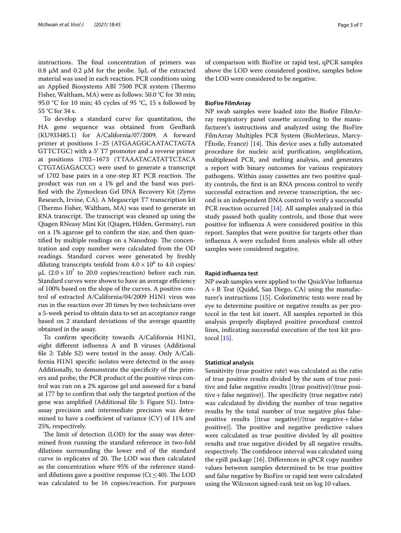instructions. The final concentration of primers was 0.8  $\mu$ M and 0.2  $\mu$ M for the probe. 5 $\mu$ L of the extracted material was used in each reaction. PCR conditions using an Applied Biosystems ABI 7500 PCR system (Thermo Fisher, Waltham, MA) were as follows: 50.0 °C for 30 min; 95.0 °C for 10 min; 45 cycles of 95 °C, 15 s followed by 55 °C for 34 s.

To develop a standard curve for quantitation, the HA gene sequence was obtained from GenBank (KU933485.1) for A/California/07/2009. A forward primer at positions 1–25 (ATGAAGGCAATACTAGTA GTTCTGC) with a 5′ T7 promoter and a reverse primer at positions 1702–1673 (TTAAATACATATTCTACA CTGTAGAGACCC) were used to generate a transcript of 1702 base pairs in a one-step RT PCR reaction. The product was run on a 1% gel and the band was purifed with the Zymoclean Gel DNA Recovery Kit (Zymo Research, Irvine, CA). A Megascript T7 transcription kit (Thermo Fisher, Waltham, MA) was used to generate an RNA transcript. The transcript was cleaned up using the Qiagen RNeasy Mini Kit (Qiagen, Hilden, Germany), run on a 1% agarose gel to confrm the size, and then quantified by multiple readings on a Nanodrop. The concentration and copy number were calculated from the OD readings. Standard curves were generated by freshly diluting transcripts tenfold from  $4.0 \times 10^6$  to  $4.0$  copies/  $\mu$ L (2.0 × 10<sup>7</sup> to 20.0 copies/reaction) before each run. Standard curves were shown to have an average efficiency of 100% based on the slope of the curves. A positive control of extracted A/California/04/2009 H1N1 virus was run in the reaction over 20 times by two technicians over a 5-week period to obtain data to set an acceptance range based on 2 standard deviations of the average quantity obtained in the assay.

To confrm specifcity towards A/California H1N1, eight diferent infuenza A and B viruses (Additional file [2](#page-5-13): Table S2) were tested in the assay. Only A/California H1N1 specifc isolates were detected in the assay. Additionally, to demonstrate the specifcity of the primers and probe, the PCR product of the positive virus control was run on a 2% agarose gel and assessed for a band at 177 bp to confrm that only the targeted portion of the gene was amplified (Additional file [3](#page-5-14): Figure S1). Intraassay precision and intermediate precision was determined to have a coefficient of variance  $(CV)$  of 11% and 25%, respectively.

The limit of detection (LOD) for the assay was determined from running the standard reference in two-fold dilutions surrounding the lower end of the standard curve in replicates of 20. The LOD was then calculated as the concentration where 95% of the reference standard dilutions gave a positive response ( $Ct \leq 40$ ). The LOD was calculated to be 16 copies/reaction. For purposes

of comparison with BioFire or rapid test, qPCR samples above the LOD were considered positive, samples below the LOD were considered to be negative.

# **BioFire FilmArray**

NP swab samples were loaded into the Biofre FilmArray respiratory panel cassette according to the manufacturer's instructions and analyzed using the BioFire FilmArray Multiplex PCR System (BioMerieux, Marcyl'Étoile, France)  $[14]$  $[14]$  $[14]$ . This device uses a fully automated procedure for nucleic acid purifcation, amplifcation, multiplexed PCR, and melting analysis, and generates a report with binary outcomes for various respiratory pathogens. Within assay cassettes are two positive quality controls, the frst is an RNA process control to verify successful extraction and reverse transcription, the second is an independent DNA control to verify a successful PCR reaction occurred [[14](#page-6-0)]. All samples analyzed in this study passed both quality controls, and those that were positive for infuenza A were considered positive in this report. Samples that were positive for targets other than infuenza A were excluded from analysis while all other samples were considered negative.

# **Rapid infuenza test**

NP swab samples were applied to the QuickVue Infuenza A+B Test (Quidel, San Diego, CA) using the manufacturer's instructions [\[15\]](#page-6-1). Colorimetric tests were read by eye to determine positive or negative results as per protocol in the test kit insert. All samples reported in this analysis properly displayed positive procedural control lines, indicating successful execution of the test kit protocol [[15\]](#page-6-1).

## **Statistical analysis**

Sensitivity (true positive rate) was calculated as the ratio of true positive results divided by the sum of true positive and false negative results [(true positive)/(true positive  $+$  false negative)]. The specificity (true negative rate) was calculated by dividing the number of true negative results by the total number of true negative plus falsepositive results  $[(true negative)/(true negative+false)]$ positive)]. The positive and negative predictive values were calculated as true positive divided by all positive results and true negative divided by all negative results, respectively. The confidence interval was calculated using the epiR package [\[16](#page-6-2)]. Diferences in qPCR copy number values between samples determined to be true positive and false negative by BioFire or rapid test were calculated using the Wilcoxon signed-rank test on log 10 values.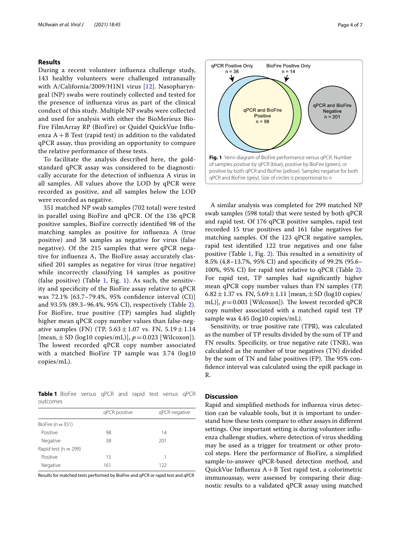# **Results**

During a recent volunteer infuenza challenge study, 143 healthy volunteers were challenged intranasally with A/California/2009/H1N1 virus [[12](#page-5-10)]. Nasopharyngeal (NP) swabs were routinely collected and tested for the presence of infuenza virus as part of the clinical conduct of this study. Multiple NP swabs were collected and used for analysis with either the BioMerieux Bio-Fire FilmArray RP (BioFire) or Quidel QuickVue Infuenza  $A + B$  Test (rapid test) in addition to the validated qPCR assay, thus providing an opportunity to compare the relative performance of these tests.

To facilitate the analysis described here, the goldstandard qPCR assay was considered to be diagnostically accurate for the detection of infuenza A virus in all samples. All values above the LOD by qPCR were recorded as positive, and all samples below the LOD were recorded as negative.

351 matched NP swab samples (702 total) were tested in parallel using BioFire and qPCR. Of the 136 qPCR positive samples, BioFire correctly identifed 98 of the matching samples as positive for infuenza A (true positive) and 38 samples as negative for virus (false negative). Of the 215 samples that were qPCR negative for influenza A, The BioFire assay accurately classifed 201 samples as negative for virus (true negative) while incorrectly classifying 14 samples as positive (false positive) (Table [1](#page-3-1), Fig. 1). As such, the sensitivity and specifcity of the BioFire assay relative to qPCR was 72.1% [63.7–79.4%, 95% confdence interval (CI)] and 93.5% (89.3–96.4%, 95% CI), respectively (Table [2\)](#page-4-0). For BioFire, true positive (TP) samples had slightly higher mean qPCR copy number values than false-negative samples (FN) (TP,  $5.63 \pm 1.07$  vs. FN,  $5.19 \pm 1.14$ [mean,±SD (log10 copies/mL)], *p*=0.023 [Wilcoxon]). The lowest recorded qPCR copy number associated with a matched BioFire TP sample was 3.74 (log10 copies/mL).

<span id="page-3-0"></span>**Table 1** BioFire versus qPCR and rapid test versus qPCR outcomes

|                          | qPCR positive | qPCR negative |  |  |
|--------------------------|---------------|---------------|--|--|
| BioFire $(n = 351)$      |               |               |  |  |
| Positive                 | 98            | 14            |  |  |
| Negative                 | 38            | 201           |  |  |
| Rapid test ( $n = 299$ ) |               |               |  |  |
| Positive                 | 15            | 1             |  |  |
| Negative                 | 161           | 122           |  |  |

Results for matched tests performed by BioFire and qPCR or rapid test and qPCR



<span id="page-3-1"></span>A similar analysis was completed for 299 matched NP swab samples (598 total) that were tested by both qPCR and rapid test. Of 176 qPCR positive samples, rapid test recorded 15 true positives and 161 false negatives for matching samples. Of the 123 qPCR negative samples, rapid test identifed 122 true negatives and one false positive (Table  $1$ , Fig. [2\)](#page-4-1). This resulted in a sensitivity of 8.5% (4.8–13.7%, 95% CI) and specifcity of 99.2% (95.6– 100%, 95% CI) for rapid test relative to qPCR (Table [2](#page-4-0)). For rapid test, TP samples had signifcantly higher mean qPCR copy number values than FN samples (TP, 6.82 $\pm$ 1.37 vs. FN, 5.69 $\pm$ 1.11 [mean, $\pm$ SD (log10 copies/ mL)],  $p = 0.003$  [Wilcoxon]). The lowest recorded qPCR copy number associated with a matched rapid test TP sample was 4.45 (log10 copies/mL).

Sensitivity, or true positive rate (TPR), was calculated as the number of TP results divided by the sum of TP and FN results. Specificity, or true negative rate (TNR), was calculated as the number of true negatives (TN) divided by the sum of TN and false positives (FP). The 95% confdence interval was calculated using the epiR package in R.

# **Discussion**

Rapid and simplifed methods for infuenza virus detection can be valuable tools, but it is important to understand how these tests compare to other assays in diferent settings. One important setting is during volunteer infuenza challenge studies, where detection of virus shedding may be used as a trigger for treatment or other protocol steps. Here the performance of BioFire, a simplifed sample-to-answer qPCR-based detection method, and QuickVue Infuenza A+B Test rapid test, a colorimetric immunoassay, were assessed by comparing their diagnostic results to a validated qPCR assay using matched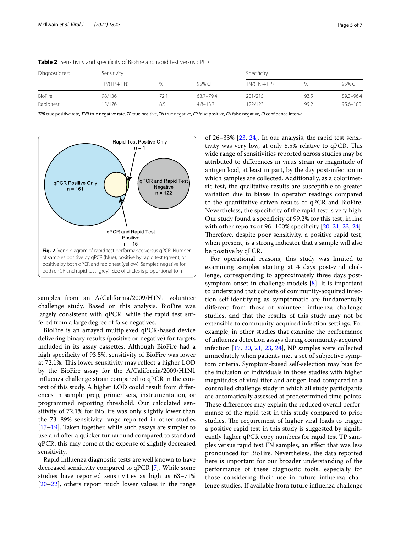| Diagnostic test | Sensitivity    |     |              |                | Specificity |              |  |
|-----------------|----------------|-----|--------------|----------------|-------------|--------------|--|
|                 | $TP/(TP + FN)$ | %   | 95% CI       | $TN/(TN + FP)$ | %           | 95% CI       |  |
| <b>BioFire</b>  | 98/136         | 72. | 63.7-79.4    | 201/215        | 93.5        | 89.3-96.4    |  |
| Rapid test      | 15/176         | 8.5 | $4.8 - 13.7$ | 122/123        | 99.2        | $95.6 - 100$ |  |

<span id="page-4-0"></span>**Table 2** Sensitivity and specificity of BioFire and rapid test versus qPCR

*TPR* true positive rate, *TNR* true negative rate, *TP* true positive, *TN* true negative, *FP* false positive, *FN* false negative, *CI* confdence interval



<span id="page-4-1"></span>samples from an A/California/2009/H1N1 volunteer challenge study. Based on this analysis, BioFire was largely consistent with qPCR, while the rapid test suffered from a large degree of false negatives.

BioFire is an arrayed multiplexed qPCR-based device delivering binary results (positive or negative) for targets included in its assay cassettes. Although BioFire had a high specifcity of 93.5%, sensitivity of BioFire was lower at 72.1%. This lower sensitivity may reflect a higher LOD by the BioFire assay for the A/California/2009/H1N1 infuenza challenge strain compared to qPCR in the context of this study. A higher LOD could result from diferences in sample prep, primer sets, instrumentation, or programmed reporting threshold. Our calculated sensitivity of 72.1% for BioFire was only slightly lower than the 73–89% sensitivity range reported in other studies [[17–](#page-6-3)[19](#page-6-4)]. Taken together, while such assays are simpler to use and offer a quicker turnaround compared to standard qPCR, this may come at the expense of slightly decreased sensitivity.

Rapid infuenza diagnostic tests are well known to have decreased sensitivity compared to qPCR [\[7](#page-5-6)]. While some studies have reported sensitivities as high as 63–71% [[20–](#page-6-5)[22](#page-6-6)], others report much lower values in the range

of  $26-33\%$   $[23, 24]$  $[23, 24]$  $[23, 24]$  $[23, 24]$  $[23, 24]$ . In our analysis, the rapid test sensitivity was very low, at only 8.5% relative to qPCR. This wide range of sensitivities reported across studies may be attributed to diferences in virus strain or magnitude of antigen load, at least in part, by the day post-infection in which samples are collected. Additionally, as a colorimetric test, the qualitative results are susceptible to greater variation due to biases in operator readings compared to the quantitative driven results of qPCR and BioFire. Nevertheless, the specifcity of the rapid test is very high. Our study found a specifcity of 99.2% for this test, in line with other reports of 96–100% specificity [[20](#page-6-5), [21,](#page-6-9) [23,](#page-6-7) [24](#page-6-8)]. Therefore, despite poor sensitivity, a positive rapid test, when present, is a strong indicator that a sample will also be positive by qPCR.

For operational reasons, this study was limited to examining samples starting at 4 days post-viral challenge, corresponding to approximately three days postsymptom onset in challenge models [[8\]](#page-5-7). It is important to understand that cohorts of community-acquired infection self-identifying as symptomatic are fundamentally diferent from those of volunteer infuenza challenge studies, and that the results of this study may not be extensible to community-acquired infection settings. For example, in other studies that examine the performance of infuenza detection assays during community-acquired infection [[17](#page-6-3), [20,](#page-6-5) [21,](#page-6-9) [23](#page-6-7), [24](#page-6-8)], NP samples were collected immediately when patients met a set of subjective symptom criteria. Symptom-based self-selection may bias for the inclusion of individuals in those studies with higher magnitudes of viral titer and antigen load compared to a controlled challenge study in which all study participants are automatically assessed at predetermined time points. These differences may explain the reduced overall performance of the rapid test in this study compared to prior studies. The requirement of higher viral loads to trigger a positive rapid test in this study is suggested by signifcantly higher qPCR copy numbers for rapid test TP samples versus rapid test FN samples, an efect that was less pronounced for BioFire. Nevertheless, the data reported here is important for our broader understanding of the performance of these diagnostic tools, especially for those considering their use in future infuenza challenge studies. If available from future infuenza challenge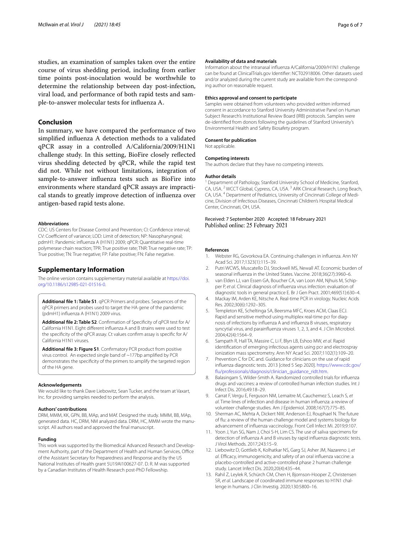studies, an examination of samples taken over the entire course of virus shedding period, including from earlier time points post-inoculation would be worthwhile to determine the relationship between day post-infection, viral load, and performance of both rapid tests and sample-to-answer molecular tests for infuenza A.

# **Conclusion**

In summary, we have compared the performance of two simplifed infuenza A detection methods to a validated qPCR assay in a controlled A/California/2009/H1N1 challenge study. In this setting, BioFire closely refected virus shedding detected by qPCR, while the rapid test did not. While not without limitations, integration of sample-to-answer infuenza tests such as BioFire into environments where standard qPCR assays are impractical stands to greatly improve detection of infuenza over antigen-based rapid tests alone.

#### **Abbreviations**

CDC: US Centers for Disease Control and Prevention; CI: Confdence interval; CV: Coefficient of variance; LOD: Limit of detection; NP: Nasopharyngeal; pdmH1: Pandemic infuenza A (H1N1) 2009; qPCR: Quantitative real-time polymerase chain reaction; TPR: True positive rate; TNR: True negative rate; TP: True positive; TN: True negative; FP: False positive; FN: False negative.

# **Supplementary Information**

The online version contains supplementary material available at [https://doi.](https://doi.org/10.1186/s12985-021-01516-0) [org/10.1186/s12985-021-01516-0](https://doi.org/10.1186/s12985-021-01516-0).

<span id="page-5-12"></span>**Additional fle 1: Table S1**. qPCR Primers and probes. Sequences of the qPCR primers and probes used to target the HA gene of the pandemic (pdmH1) infuenza A (H1N1) 2009 virus.

<span id="page-5-13"></span>**Additional fle 2: Table S2**. Confrmation of Specifcity of qPCR test for A/ California H1N1. Eight diferent infuenza A and B strains were used to test the specifcity of the qPCR assay. Ct values confrm assay is specifc for A/ California H1N1 viruses.

<span id="page-5-14"></span>**Additional fle 3: Figure S1**. Confrmatory PCR product from positive virus control. An expected single band of ~177bp amplifed by PCR demonstrates the specifcity of the primers to amplify the targeted region of the HA gene.

#### **Acknowledgements**

We would like to thank Dave Liebowitz, Sean Tucker, and the team at Vaxart, Inc. for providing samples needed to perform the analysis.

#### **Authors' contributions**

DRM, MMM, KK, GPN, BB, MAp, and MAf. Designed the study. MMM, BB, MAp, generated data. HC, DRM, NM analyzed data. DRM, HC, MMM wrote the manuscript. All authors read and approved the fnal manuscript.

#### **Funding**

This work was supported by the Biomedical Advanced Research and Development Authority, part of the Department of Health and Human Services, Office of the Assistant Secretary for Preparedness and Response and by the US National Institutes of Health grant 5U19AI100627-07. D. R. M was supported by a Canadian Institutes of Health Research post-PhD Fellowship.

#### **Availability of data and materials**

Information about the intranasal infuenza A/California/2009/H1N1 challenge can be found at ClinicalTrials.gov Identifer: NCT02918006. Other datasets used and/or analyzed during the current study are available from the corresponding author on reasonable request.

#### **Ethics approval and consent to participate**

Samples were obtained from volunteers who provided written informed consent in accordance to Stanford University Administrative Panel on Human Subject Research's Institutional Review Board (IRB) protocols. Samples were de-identifed from donors following the guidelines of Stanford University's Environmental Health and Safety Biosafety program.

#### **Consent for publication**

Not applicable.

#### **Competing interests**

The authors declare that they have no competing interests.

#### **Author details**

<sup>1</sup> Department of Pathology, Stanford University School of Medicine, Stanford, CA, USA. <sup>2</sup> WCCT Global, Cypress, CA, USA. 3 ARK Clinical Research, Long Beach, CA, USA. <sup>4</sup> Department of Pediatrics, University of Cincinnati College of Medicine, Division of Infectious Diseases, Cincinnati Children's Hospital Medical Center, Cincinnati, OH, USA.

## Received: 7 September 2020 Accepted: 18 February 2021 Published online: 25 February 2021

#### **References**

- <span id="page-5-0"></span>1. Webster RG, Govorkova EA. Continuing challenges in infuenza. Ann NY Acad Sci. 2017;1323(1):115–39.
- <span id="page-5-1"></span>2. Putri WCWS, Muscatello DJ, Stockwell MS, Newall AT. Economic burden of seasonal infuenza in the United States. Vaccine. 2018;36(27):3960–6.
- <span id="page-5-2"></span>3. van Elden LJ, van Essen GA, Boucher CA, van Loon AM, Njhuis M, Schipper P, *et al*. Clinical diagnosis of infuenza virus infection: evaluation of diagnostic tools in general practice E. Br J Gen Pract. 2001;469(51):630–4.
- <span id="page-5-3"></span>4. Mackay IM, Arden KE, Nitsche A. Real-time PCR in virology. Nucleic Acids Res. 2002;30(6):1292–305.
- <span id="page-5-4"></span>5. Templeton KE, Scheltinga SA, Beersma MFC, Kroes ACM, Claas ECJ. Rapid and sensitive method using multiplex real-time pcr for diagnosis of infections by infuenza A and infuenza B viruses, respiratory syncytial virus, and parainfuenza viruses 1, 2, 3, and 4. J Clin Microbiol. 2004;42(4):1564–9.
- <span id="page-5-5"></span>6. Sampath R, Hall TA, Massire C, Li F, Blyn LB, Eshoo MW, *et al*. Rapid identifcation of emerging infectious agents using pcr and electrospray ionization mass spectrometry. Ann NY Acad Sci. 2007;1102(1):109–20.
- <span id="page-5-6"></span>7. Prevention C for DC and. Guidance for clinicians on the use of rapid infuenza diagnostic tests. 2013 [cited 5 Sep 2020]. [https://www.cdc.gov/](https://www.cdc.gov/flu/professionals/diagnosis/clinician_guidance_ridt.htm) [fu/professionals/diagnosis/clinician\\_guidance\\_ridt.htm](https://www.cdc.gov/flu/professionals/diagnosis/clinician_guidance_ridt.htm).
- <span id="page-5-7"></span>8. Balasingam S, Wilder-Smith A. Randomized controlled trials for infuenza drugs and vaccines: a review of controlled human infection studies. Int J Infect Dis. 2016;49:18–29.
- 9. Carrat F, Vergu E, Ferguson NM, Lemaitre M, Cauchemez S, Leach S, *et al*. Time lines of infection and disease in human infuenza: a review of volunteer challenge studies. Am J Epidemiol. 2008;167(7):775–85.
- <span id="page-5-8"></span>10. Sherman AC, Mehta A, Dickert NW, Anderson EJ, Rouphael N. The future of fu: a review of the human challenge model and systems biology for advancement of infuenza vaccinology. Front Cell Infect Mi. 2019;9:107.
- <span id="page-5-9"></span>11. Yoon J, Yun SG, Nam J, Choi S-H, Lim CS. The use of saliva specimens for detection of infuenza A and B viruses by rapid infuenza diagnostic tests. J Virol Methods. 2017;243:15–9.
- <span id="page-5-10"></span>12. Liebowitz D, Gottlieb K, Kolhatkar NS, Garg SJ, Asher JM, Nazareno J, *et al*. Efcacy, immunogenicity, and safety of an oral infuenza vaccine: a placebo-controlled and active-controlled phase 2 human challenge study. Lancet Infect Dis. 2020;20(4):435–44.
- <span id="page-5-11"></span>13. Rahil Z, Leylek R, Schürch CM, Chen H, Bjornson-Hooper Z, Christensen SR, *et al*. Landscape of coordinated immune responses to H1N1 challenge in humans. J Clin Investig. 2020;130:5800–16.